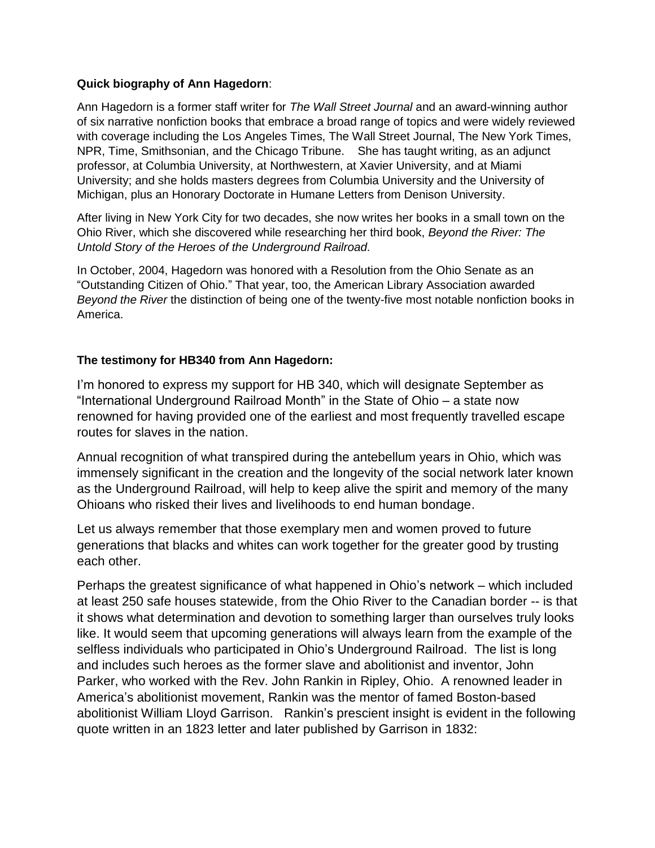## **Quick biography of Ann Hagedorn**:

Ann Hagedorn is a former staff writer for *The Wall Street Journal* and an award-winning author of six narrative nonfiction books that embrace a broad range of topics and were widely reviewed with coverage including the Los Angeles Times, The Wall Street Journal, The New York Times, NPR, Time, Smithsonian, and the Chicago Tribune. She has taught writing, as an adjunct professor, at Columbia University, at Northwestern, at Xavier University, and at Miami University; and she holds masters degrees from Columbia University and the University of Michigan, plus an Honorary Doctorate in Humane Letters from Denison University.

After living in New York City for two decades, she now writes her books in a small town on the Ohio River, which she discovered while researching her third book, *Beyond the River: The Untold Story of the Heroes of the Underground Railroad.* 

In October, 2004, Hagedorn was honored with a Resolution from the Ohio Senate as an "Outstanding Citizen of Ohio." That year, too, the American Library Association awarded *Beyond the River* the distinction of being one of the twenty-five most notable nonfiction books in America.

## **The testimony for HB340 from Ann Hagedorn:**

I'm honored to express my support for HB 340, which will designate September as "International Underground Railroad Month" in the State of Ohio – a state now renowned for having provided one of the earliest and most frequently travelled escape routes for slaves in the nation.

Annual recognition of what transpired during the antebellum years in Ohio, which was immensely significant in the creation and the longevity of the social network later known as the Underground Railroad, will help to keep alive the spirit and memory of the many Ohioans who risked their lives and livelihoods to end human bondage.

Let us always remember that those exemplary men and women proved to future generations that blacks and whites can work together for the greater good by trusting each other.

Perhaps the greatest significance of what happened in Ohio's network – which included at least 250 safe houses statewide, from the Ohio River to the Canadian border -- is that it shows what determination and devotion to something larger than ourselves truly looks like. It would seem that upcoming generations will always learn from the example of the selfless individuals who participated in Ohio's Underground Railroad. The list is long and includes such heroes as the former slave and abolitionist and inventor, John Parker, who worked with the Rev. John Rankin in Ripley, Ohio. A renowned leader in America's abolitionist movement, Rankin was the mentor of famed Boston-based abolitionist William Lloyd Garrison. Rankin's prescient insight is evident in the following quote written in an 1823 letter and later published by Garrison in 1832: